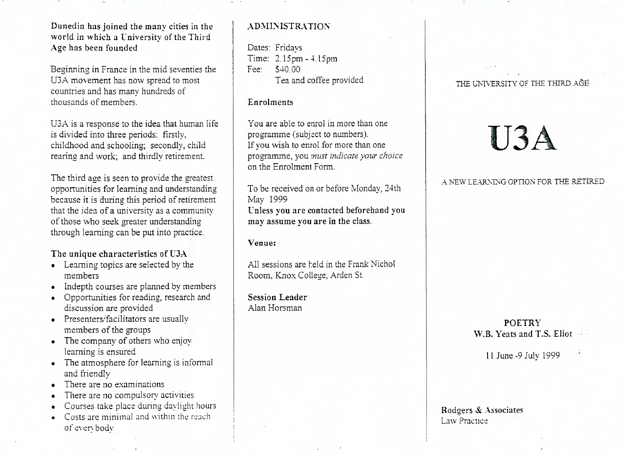Dunedin has joined the many cities in the world in which a L'niversitv of the ThirdAge has been founded

Beginning in France in the mid seventies theU3A movement has now spread to mostcountries and has many hundreds ofthousands of members.

USA is a response to the idea that human lifeis divided into three periods: firstly, childhood and schooling; secondly, childrearing and work; and thirdly retirement.

The third age is seen to provide the greatest opportunities for learning and understanding because it is during this period of retirement that the idea of a university as a communityof those who seek greater understandingthrough learning can be put into practice.

# The unique characteristics of U3A

- Learning topics are selected by themembers
- Indepth courses are planned by members
- Opportunities for reading, research anddiscussion are provided
- Presenters/facilitators are usually members of the groups
- The company of others who enjoylearning is ensured
- The atmosphere for learning is informaland friendly
- There are no examinations
- There are no compulsory activities
- Courses take place during daylight hours
- Costs are minimal and within the reachof evervbodv

# ADMINISTRATION

Dates: Fridays Time: 2.15pm -4.15pmFee: S40.00Tea and coffee provided

#### Enrolments

You are able to enrol in more than oneprogramme (subject to numbers). If you wish to enrol for more than one programme, you *must indicate your choice*on the Enrolment Form.

To be received on or before Monday, 24thMay 1999

 Unless you are contacted beforehand youmay assume you are in the class.

# Venue:

All sessions are held in the Frank NicholRoom, Knox College, Arden St.

Session LeaderAlan Horsman

### THE UNIVERSITY OF THE THIRD A&E

# U3A

A NEW LEARNING OPTION FOR THE RETIRED

POETRYW.B. Yeats and T.S.Eliot

11 June-9JuIv 1999

Rodgers & Associates Law Practice